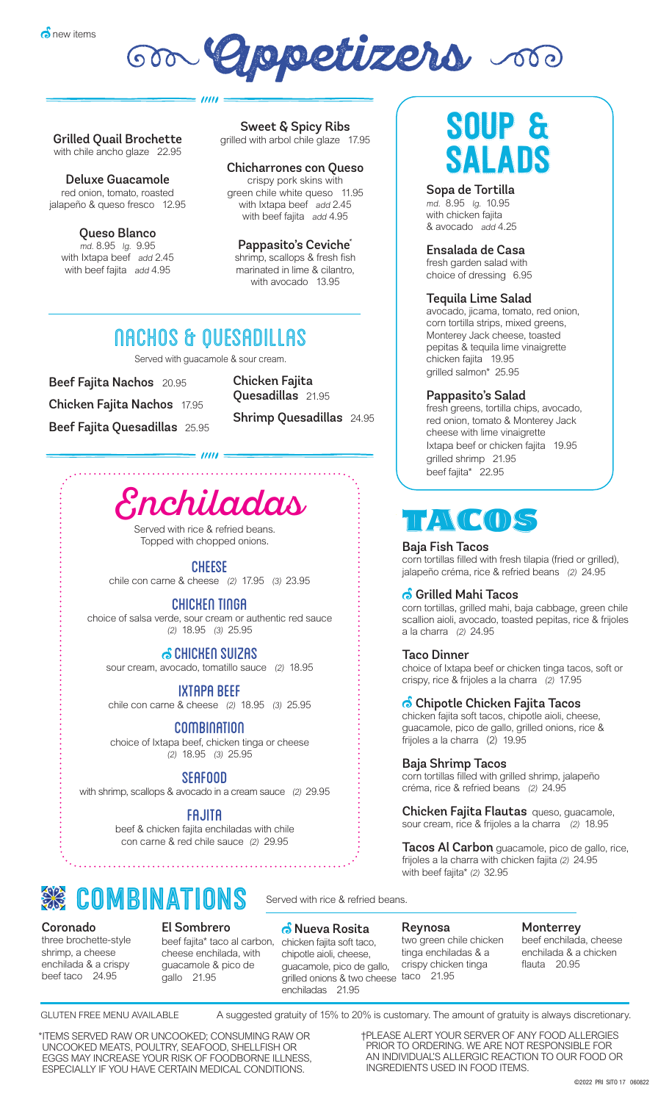

Grilled Quail Brochette with chile ancho glaze 22.95

Neluve Guesemele Deluxe Guacamole<br>red epign\_temete\_rescted jalapeño & queso fresco 12.95 red onion, tomato, roasted

md. 8.95 lg. 9.95 Queso Blanco md. 8.95 lg. 9.95 with beef fajita  $\alpha$  add 4.95 grilled with a set of the glaze 17.955 million and the glaze 17.955 million and the glaze 17.955 million and the glaze 17.955 million and the glaze 17.955 million and the glaze 17.955 million and the glaze 17.955 million a with Ixtapa beef add 2.45

Sweet & Spicy Ribs  $\frac{1}{\sqrt{2}}$  arbol chile glaze grilled with arbol chile glaze 17.95

#### Chicharrones con Queso crispy pork skins with green chile white queso 11.95 with Ixtapa beef add 2.45<br>with beef feite and 4.05 with beef fajita add 4.95

 $\mathbf{r}$  and  $\mathbf{r}$  add  $\mathbf{r}$ shrimp, scallops & fresh fish marinated in lime & cilantro, with avocado  $13.95$ with avocado 13.95 Pappasito's Ceviche\*

## NACHOS & QUESADILLAS

 $III$ 

Served with guacamole & sour cream.

Beef Fajita Nachos 20.95 Chicken Fajita Nachos 17.95 Beef Fajita Quesadillas 25.95 Chicken Fajita Quesadillas 21.95

Shrimp Quesadillas 24.95



 $= 11111 =$ 

Served with rice & refried beans. Topped with chopped onions.

### **CHEESE**

chile con carne & cheese (2) 17.95 (3) 23.95

#### CHICKEN TINGA

choice of salsa verde, sour cream or authentic red sauce (2) 18.95 (3) 25.95

### CHICKEN SUIZAS

sour cream, avocado, tomatillo sauce (2) 18.95

### IXTAPA BEEF

chile con carne & cheese (2) 18.95 (3) 25.95

COMBINATION

choice of Ixtapa beef, chicken tinga or cheese (2) 18.95 (3) 25.95

### SEAFOOD

with shrimp, scallops & avocado in a cream sauce (2) 29.95

### FAJITA

beef & chicken fajita enchiladas with chile con carne & red chile sauce (2) 29.95



Coronado<br>three brochette-style shrimp, a cheese enchilada & a crispy beef taco 24.95

El Sombrero

beef fajita\* taco al carbon, chicken fajita soft taco, cheese enchilada, with guacamole & pico de gallo 21.95

<mark>்</mark> Nueva Rosita chipotle aioli, cheese, guacamole, pico de gallo, grilled onions & two cheese taco 21.95 enchiladas 21.95

#### Reynosa

two green chile chicken tinga enchiladas & a crispy chicken tinga

**Monterrey** 

beef enchilada, cheese enchilada & a chicken flauta 20.95

GLUTEN FREE MENU AVAILABLE A suggested gratuity of 15% to 20% is customary. The amount of gratuity is always discretionary.

\*ITEMS SERVED RAW OR UNCOOKED; CONSUMING RAW OR<br>UNCOOKED MEATS POULTRY SEAEOOD, SHELLEISH OR UNCOOKED MEATS, POULTRY, SEAFOOD, SHELLFISH OR<br>ECCS MAY INCREASE YOUR RISK OF EOODRORNE ILLNESS EGGS MAY INCREASE YOUR RISK OF FOODBORNE ILLNESS,<br>ESPECIALLY IE VOLLHAVE CERTAIN MEDICAL CONDITIONS ESPECIALLY IF YOU HAVE CERTAIN MEDICAL CONDITIONS. \*ITEMS SERVED RAW OR UNCOOKED; CONSUMING RAW OR UNCOOKED MEATS, POULTRY, SEAFOOD, SHELLFISH OR EGGS MAY INCREASE YOUR RISK OF FOODBORNE ILLNESS,

†Please alert your Server of any food allergies prior to ordering. †PLEASE ALERT YOUR SERVER OF ANY FOOD ALLERGIES PRIOR TO ORDERING. WE ARE NOT RESPONSIBLE FOR<br>AN INDIVIDUAL'S ALLERGIC REACTION TO OUR FOOD O AN INDIVIDUAL'S ALLERGIC REACTION TO OUR FOOD OR<br>INGREDIENTS LISED IN FOOD ITEMS. INGREDIENTS USED IN FOOD ITEMS.

# SOUP & SALADS

Sopa de Tortilla<br>md. 8.95 Ig. 10.95 with chicken fajita & avocado add 4.25

#### Ensalada de Casa

fresh garden salad with choice of dressing 6.95

#### Tequila Lime Salad

avocado, jicama, tomato, red onion, corn tortilla strips, mixed greens, Monterey Jack cheese, toasted pepitas & tequila lime vinaigrette chicken fajita 19.95 grilled salmon\* 25.95

#### Pappasito's Salad

fresh greens, tortilla chips, avocado, red onion, tomato & Monterey Jack cheese with lime vinaigrette Ixtapa beef or chicken fajita 19.95 grilled shrimp 21.95 beef fajita\* 22.95

# $\mathcal{F}(\mathcal{C}(\mathcal{C}))$

### Baja Fish Tacos

corn tortillas filled with fresh tilapia (fried or grilled), jalapeño créma, rice & refried beans (2) 24.95

#### **6** Grilled Mahi Tacos

corn tortillas, grilled mahi, baja cabbage, green chile scallion aioli, avocado, toasted pepitas, rice & frijoles a la charra (2) 24.95

#### Taco Dinner

choice of Ixtapa beef or chicken tinga tacos, soft or crispy, rice & frijoles a la charra (2) 17.95

#### $\bullet$  Chipotle Chicken Fajita Tacos

chicken fajita soft tacos, chipotle aioli, cheese, guacamole, pico de gallo, grilled onions, rice & frijoles a la charra (2) 19.95

Baja Shrimp Tacos

corn tortillas filled with grilled shrimp, jalapeño créma, rice & refried beans (2) 24.95

Chicken Fajita Flautas queso, guacamole, sour cream, rice & frijoles a la charra (2) 18.95

Tacos Al Carbon guacamole, pico de gallo, rice, frijoles a la charra with chicken fajita (2) 24.95 with beef fajita\* (2) 32.95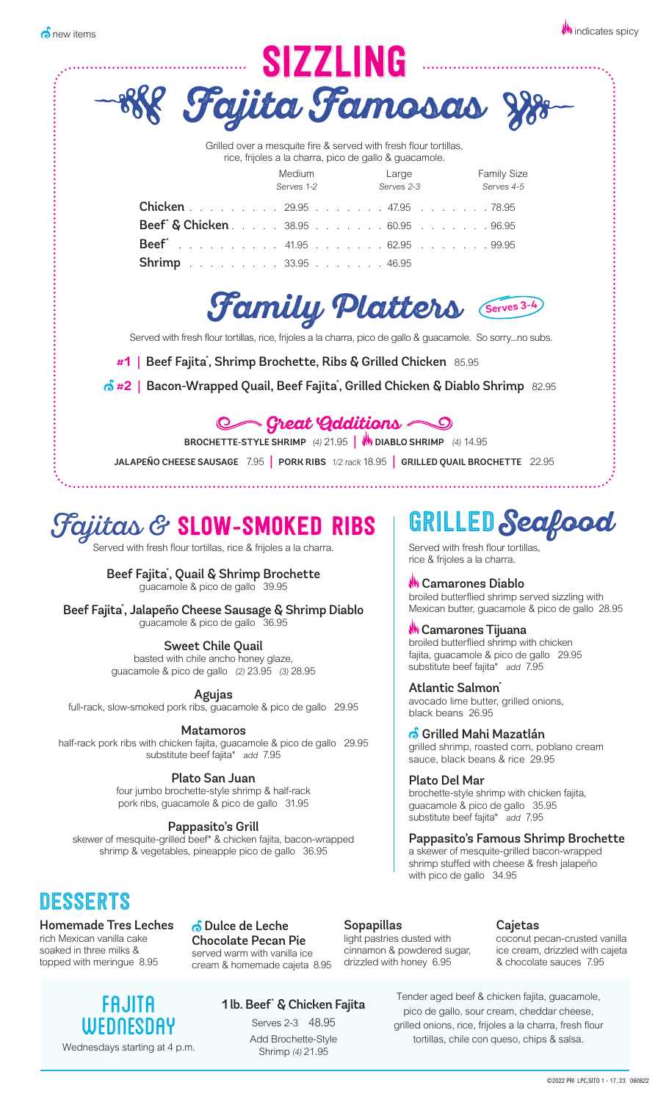|                                                                                                                                                        | SIZZLING             |                                                                                                                                                    |                                  |
|--------------------------------------------------------------------------------------------------------------------------------------------------------|----------------------|----------------------------------------------------------------------------------------------------------------------------------------------------|----------------------------------|
|                                                                                                                                                        |                      |                                                                                                                                                    | Fajita Famosas 88-               |
|                                                                                                                                                        | Medium<br>Serves 1-2 | Grilled over a mesquite fire & served with fresh flour tortillas,<br>rice, frijoles a la charra, pico de gallo & guacamole.<br>Large<br>Serves 2-3 | <b>Family Size</b><br>Serves 4-5 |
| <b>Chicken</b> 29.95 47.95 78.95<br>Beef <sup>*</sup> & Chicken. 38.95 60.95 96.95<br><b>Beef</b> <sup>*</sup> 41.95 62.95 99.95<br>Shrimp 33.95 46.95 |                      |                                                                                                                                                    |                                  |
|                                                                                                                                                        |                      |                                                                                                                                                    | Family Platters Serves 3-4       |
| Served with fresh flour tortillas, rice, frijoles a la charra, pico de gallo & guacamole. So sorryno subs.                                             |                      |                                                                                                                                                    |                                  |
| #1   Beef Fajita <sup>*</sup> , Shrimp Brochette, Ribs & Grilled Chicken 85.95                                                                         |                      |                                                                                                                                                    |                                  |
| $\delta$ #2   Bacon-Wrapped Quail, Beef Fajita*, Grilled Chicken & Diablo Shrimp 82.95                                                                 |                      |                                                                                                                                                    |                                  |
|                                                                                                                                                        |                      | C Great Additions<br>BROCHETTE-STYLE SHRIMP (4) 21.95   WOIABLO SHRIMP (4) 14.95                                                                   |                                  |
| JALAPEÑO CHEESE SAUSAGE 7.95 PORK RIBS 1/2 rack 18.95 GRILLED QUAIL BROCHETTE 22.95                                                                    |                      |                                                                                                                                                    |                                  |

# Fajitas & SLOW-SMOKED RIBS

Served with fresh flour tortillas, rice & frijoles a la charra.

Beef Fajita\* , Quail & Shrimp Brochette guacamole & pico de gallo 39.95

Beef Fajita\* , Jalapeño Cheese Sausage & Shrimp Diablo guacamole & pico de gallo 36.95

Sweet Chile Quail basted with chile ancho honey glaze, guacamole & pico de gallo (2) 23.95 (3) 28.95

Agujas

full-rack, slow-smoked pork ribs, guacamole & pico de gallo 29.95

Matamoros

half-rack pork ribs with chicken fajita, guacamole & pico de gallo 29.95 substitute beef fajita\* add 7.95

> Plato San Juan four jumbo brochette-style shrimp & half-rack pork ribs, guacamole & pico de gallo 31.95

#### Pappasito's Grill

skewer of mesquite-grilled beef\* & chicken fajita, bacon-wrapped shrimp & vegetables, pineapple pico de gallo 36.95

## DESSERTS

Homemade Tres Leches rich Mexican vanilla cake soaked in three milks & topped with meringue 8.95

 Dulce de Leche Chocolate Pecan Pie served warm with vanilla ice cream & homemade cajeta 8.95 Sopapillas light pastries dusted with cinnamon & powdered sugar,

drizzled with honey 6.95

#### Cajetas

coconut pecan-crusted vanilla ice cream, drizzled with cajeta & chocolate sauces 7.95

FAJITA WEDNESDAY Wednesdays starting at 4 p.m.

1 lb. Beef\* & Chicken Fajita

Serves 2-3 48.95 Add Brochette-Style Shrimp (4) 21.95

Tender aged beef & chicken fajita, guacamole, pico de gallo, sour cream, cheddar cheese, grilled onions, rice, frijoles a la charra, fresh flour tortillas, chile con queso, chips & salsa.

# GRILLED **Seafood**

Served with fresh flour tortillas, rice & frijoles a la charra.

**M** Camarones Diablo broiled butterflied shrimp served sizzling with Mexican butter, guacamole & pico de gallo 28.95

### *W* Camarones Tijuana

broiled butterflied shrimp with chicken fajita, guacamole & pico de gallo 29.95 substitute beef fajita\* add 7.95

Atlantic Salmon<sup>\*</sup><br>avocado lime butter, grilled onions, black beans 26.95

**G Grilled Mahi Mazatlán**<br>grilled shrimp, roasted corn, poblano cream sauce, black beans & rice 29.95

Plato Del Mar brochette-style shrimp with chicken fajita, guacamole & pico de gallo 35.95 substitute beef fajita\* add 7.95

#### Pappasito's Famous Shrimp Brochette

a skewer of mesquite-grilled bacon-wrapped shrimp stuffed with cheese & fresh jalapeño with pico de gallo 34.95